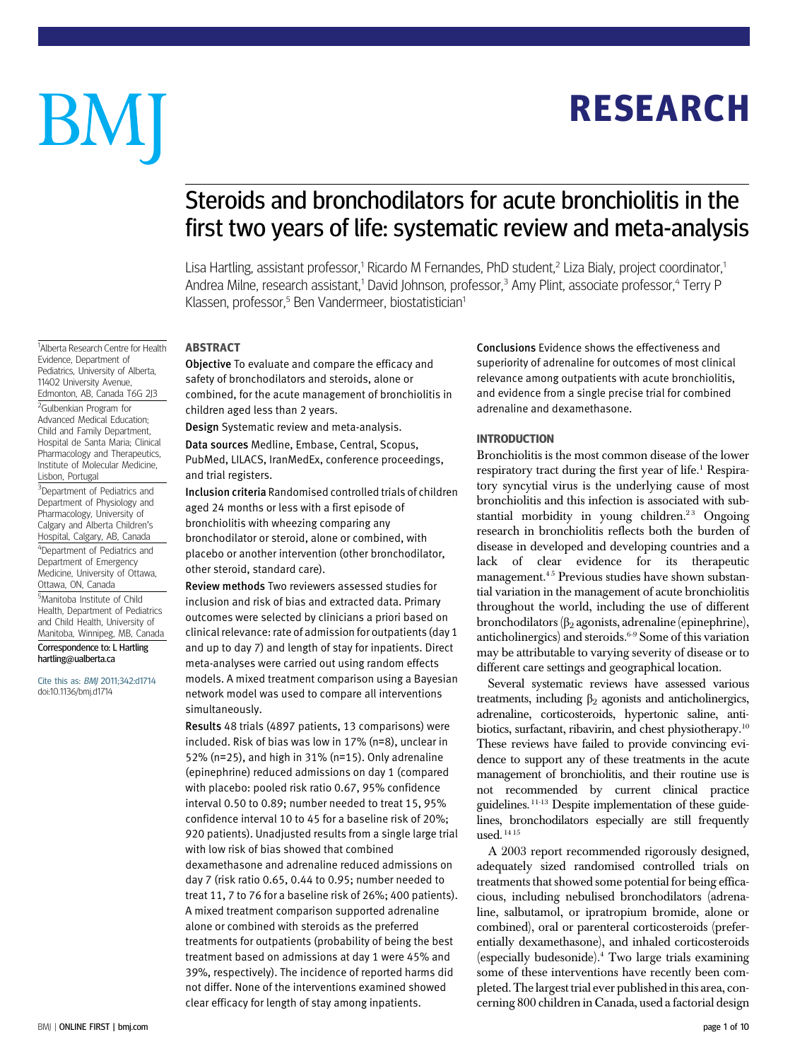# **RESEARCH** RESEARCH

# BM

# Steroids and bronchodilators for acute bronchiolitis in the first two years of life: systematic review and meta-analysis

Lisa Hartling, assistant professor,<sup>1</sup> Ricardo M Fernandes, PhD student,<sup>2</sup> Liza Bialy, project coordinator,<sup>1</sup> Andrea Milne, research assistant,<sup>1</sup> David Johnson, professor,<sup>3</sup> Amy Plint, associate professor,<sup>4</sup> Terry P Klassen, professor,<sup>5</sup> Ben Vandermeer, biostatistician<sup>1</sup>

<sup>1</sup>Alberta Research Centre for Health Evidence, Department of Pediatrics, University of Alberta, 11402 University Avenue, Edmonton, AB, Canada T6G 2J3 <sup>2</sup>Gulbenkian Program for Advanced Medical Education; Child and Family Department, Hospital de Santa Maria; Clinical Pharmacology and Therapeutics, Institute of Molecular Medicine, Lisbon, Portugal

<sup>3</sup>Department of Pediatrics and Department of Physiology and Pharmacology, University of Calgary and Alberta Children's Hospital, Calgary, AB, Canada <sup>4</sup>Department of Pediatrics and Department of Emergency Medicine, University of Ottawa, Ottawa, ON, Canada 5 Manitoba Institute of Child Health, Department of Pediatrics and Child Health, University of Manitoba, Winnipeg, MB, Canada Correspondence to: L Hartling hartling@ualberta.ca

Cite this as: BMJ 2011;342:d1714 doi:10.1136/bmj.d1714

**ABSTRACT** 

-----------<br>Objective To evaluate and compare the efficacy and safety of bronchodilators and steroids, alone or combined, for the acute management of bronchiolitis in children aged less than 2 years.

Design Systematic review and meta-analysis.

Data sources Medline, Embase, Central, Scopus, PubMed, LILACS, IranMedEx, conference proceedings, and trial registers.

Inclusion criteria Randomised controlled trials of children aged 24 months or less with a first episode of bronchiolitis with wheezing comparing any bronchodilator or steroid, alone or combined, with placebo or another intervention (other bronchodilator, other steroid, standard care).

Review methods Two reviewers assessed studies for inclusion and risk of bias and extracted data. Primary outcomes were selected by clinicians a priori based on clinical relevance: rate of admission for outpatients (day 1 and up to day 7) and length of stay for inpatients. Direct meta-analyses were carried out using random effects models. A mixed treatment comparison using a Bayesian network model was used to compare all interventions simultaneously.

Results 48 trials (4897 patients, 13 comparisons) were included. Risk of bias was low in 17% (n=8), unclear in 52% (n=25), and high in 31% (n=15). Only adrenaline (epinephrine) reduced admissions on day 1 (compared with placebo: pooled risk ratio 0.67, 95% confidence interval 0.50 to 0.89; number needed to treat 15, 95% confidence interval 10 to 45 for a baseline risk of 20%; 920 patients). Unadjusted results from a single large trial with low risk of bias showed that combined dexamethasone and adrenaline reduced admissions on day 7 (risk ratio 0.65, 0.44 to 0.95; number needed to treat 11, 7 to 76 for a baseline risk of 26%; 400 patients). A mixed treatment comparison supported adrenaline alone or combined with steroids as the preferred treatments for outpatients (probability of being the best treatment based on admissions at day 1 were 45% and 39%, respectively). The incidence of reported harms did not differ. None of the interventions examined showed clear efficacy for length of stay among inpatients.

Conclusions Evidence shows the effectiveness and superiority of adrenaline for outcomes of most clinical relevance among outpatients with acute bronchiolitis, and evidence from a single precise trial for combined adrenaline and dexamethasone.

## **INTRODUCTION**

**Bronchiolitis is the most common disease of the lower** respiratory tract during the first year of life.<sup>1</sup> Respiratory syncytial virus is the underlying cause of most bronchiolitis and this infection is associated with substantial morbidity in young children.<sup>23</sup> Ongoing research in bronchiolitis reflects both the burden of disease in developed and developing countries and a lack of clear evidence for its therapeutic management.<sup>45</sup> Previous studies have shown substantial variation in the management of acute bronchiolitis throughout the world, including the use of different bronchodilators  $(\beta_2$  agonists, adrenaline (epinephrine), anticholinergics) and steroids.6-9 Some of this variation may be attributable to varying severity of disease or to different care settings and geographical location.

Several systematic reviews have assessed various treatments, including  $β_2$  agonists and anticholinergics, adrenaline, corticosteroids, hypertonic saline, antibiotics, surfactant, ribavirin, and chest physiotherapy.<sup>10</sup> These reviews have failed to provide convincing evidence to support any of these treatments in the acute management of bronchiolitis, and their routine use is not recommended by current clinical practice guidelines. 11-13 Despite implementation of these guidelines, bronchodilators especially are still frequently used. 14 15

A 2003 report recommended rigorously designed, adequately sized randomised controlled trials on treatments that showed some potential for being efficacious, including nebulised bronchodilators (adrenaline, salbutamol, or ipratropium bromide, alone or combined), oral or parenteral corticosteroids (preferentially dexamethasone), and inhaled corticosteroids (especially budesonide).4 Two large trials examining some of these interventions have recently been completed. The largest trial ever published in this area, concerning 800 children in Canada, used a factorial design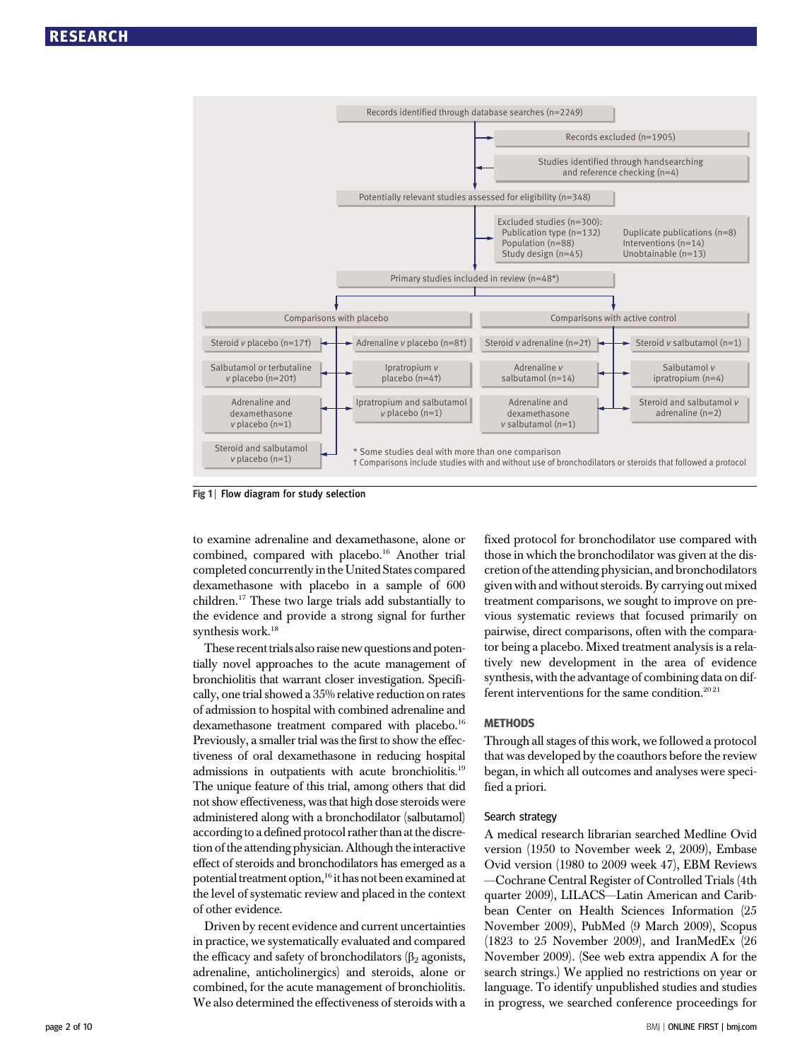

Fig 1 | Flow diagram for study selection

to examine adrenaline and dexamethasone, alone or combined, compared with placebo.<sup>16</sup> Another trial completed concurrently in the United States compared dexamethasone with placebo in a sample of 600 children.17 These two large trials add substantially to the evidence and provide a strong signal for further synthesis work.<sup>18</sup>

These recent trials also raise new questions and potentially novel approaches to the acute management of bronchiolitis that warrant closer investigation. Specifically, one trial showed a 35% relative reduction on rates of admission to hospital with combined adrenaline and dexamethasone treatment compared with placebo.<sup>16</sup> Previously, a smaller trial was the first to show the effectiveness of oral dexamethasone in reducing hospital admissions in outpatients with acute bronchiolitis.<sup>19</sup> The unique feature of this trial, among others that did not show effectiveness, was that high dose steroids were administered along with a bronchodilator (salbutamol) according to a defined protocol rather than at the discretion of the attending physician. Although the interactive effect of steroids and bronchodilators has emerged as a potential treatment option,<sup>16</sup> it has not been examined at the level of systematic review and placed in the context of other evidence.

Driven by recent evidence and current uncertainties in practice, we systematically evaluated and compared the efficacy and safety of bronchodilators ( $\beta_2$  agonists, adrenaline, anticholinergics) and steroids, alone or combined, for the acute management of bronchiolitis. We also determined the effectiveness of steroids with a fixed protocol for bronchodilator use compared with those in which the bronchodilator was given at the discretion of the attending physician, and bronchodilators given with and without steroids. By carrying out mixed treatment comparisons, we sought to improve on previous systematic reviews that focused primarily on pairwise, direct comparisons, often with the comparator being a placebo. Mixed treatment analysis is a relatively new development in the area of evidence synthesis, with the advantage of combining data on different interventions for the same condition.<sup>2021</sup>

## **METHODS**

Through all stages of this work, we followed a protocol that was developed by the coauthors before the review began, in which all outcomes and analyses were specified a priori.

#### Search strategy

A medical research librarian searched Medline Ovid version (1950 to November week 2, 2009), Embase Ovid version (1980 to 2009 week 47), EBM Reviews —Cochrane Central Register of Controlled Trials (4th quarter 2009), LILACS—Latin American and Caribbean Center on Health Sciences Information (25 November 2009), PubMed (9 March 2009), Scopus (1823 to 25 November 2009), and IranMedEx (26 November 2009). (See web extra appendix A for the search strings.) We applied no restrictions on year or language. To identify unpublished studies and studies in progress, we searched conference proceedings for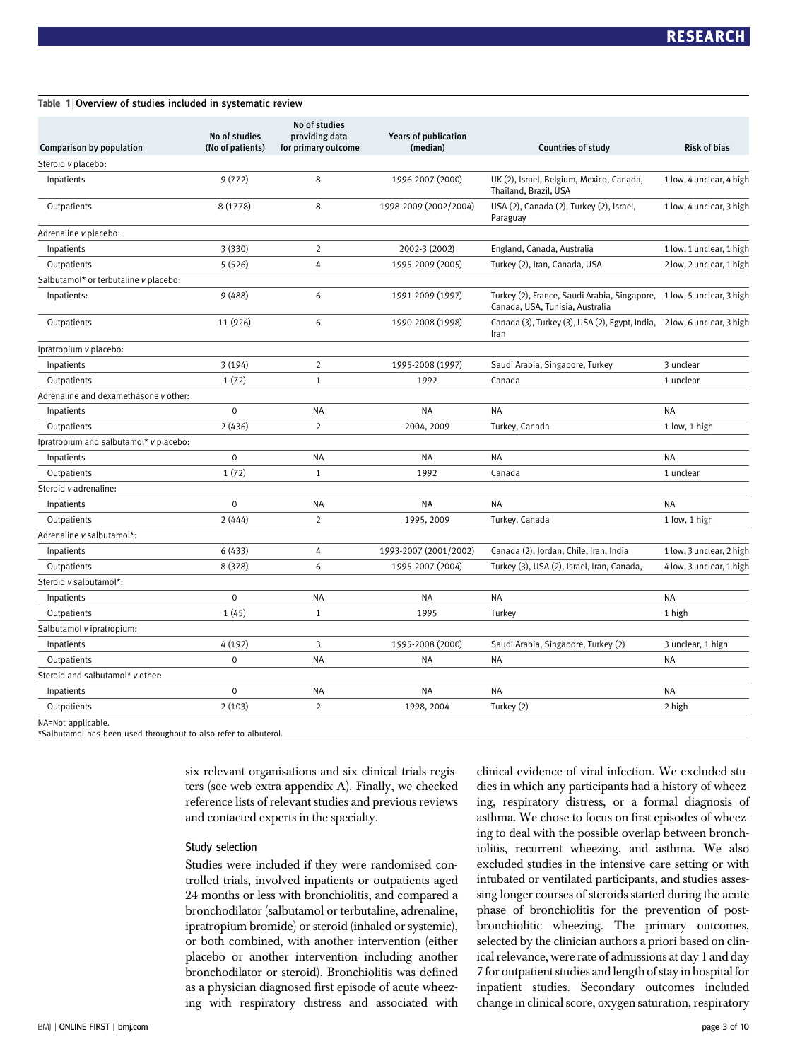#### Table 1 | Overview of studies included in systematic review

| Comparison by population               | No of studies<br>(No of patients) | No of studies<br>providing data<br>for primary outcome | Years of publication<br>(median) | Countries of study                                                                                       | <b>Risk of bias</b>      |
|----------------------------------------|-----------------------------------|--------------------------------------------------------|----------------------------------|----------------------------------------------------------------------------------------------------------|--------------------------|
| Steroid v placebo:                     |                                   |                                                        |                                  |                                                                                                          |                          |
| Inpatients                             | 9(772)                            | 8                                                      | 1996-2007 (2000)                 | UK (2), Israel, Belgium, Mexico, Canada,<br>Thailand, Brazil, USA                                        | 1 low, 4 unclear, 4 high |
| Outpatients                            | 8 (1778)                          | 8                                                      | 1998-2009 (2002/2004)            | USA (2), Canada (2), Turkey (2), Israel,<br>Paraguay                                                     | 1 low, 4 unclear, 3 high |
| Adrenaline v placebo:                  |                                   |                                                        |                                  |                                                                                                          |                          |
| Inpatients                             | 3(330)                            | $\overline{2}$                                         | 2002-3 (2002)                    | England, Canada, Australia                                                                               | 1 low, 1 unclear, 1 high |
| Outpatients                            | 5(526)                            | 4                                                      | 1995-2009 (2005)                 | Turkey (2), Iran, Canada, USA                                                                            | 2 low, 2 unclear, 1 high |
| Salbutamol* or terbutaline v placebo:  |                                   |                                                        |                                  |                                                                                                          |                          |
| Inpatients:                            | 9(488)                            | 6                                                      | 1991-2009 (1997)                 | Turkey (2), France, Saudi Arabia, Singapore, 1 low, 5 unclear, 3 high<br>Canada, USA, Tunisia, Australia |                          |
| Outpatients                            | 11 (926)                          | 6                                                      | 1990-2008 (1998)                 | Canada (3), Turkey (3), USA (2), Egypt, India, 2 low, 6 unclear, 3 high<br>Iran                          |                          |
| Ipratropium v placebo:                 |                                   |                                                        |                                  |                                                                                                          |                          |
| Inpatients                             | 3 (194)                           | $\overline{2}$                                         | 1995-2008 (1997)                 | Saudi Arabia, Singapore, Turkey                                                                          | 3 unclear                |
| Outpatients                            | 1(72)                             | $\mathbf{1}$                                           | 1992                             | Canada                                                                                                   | 1 unclear                |
| Adrenaline and dexamethasone v other:  |                                   |                                                        |                                  |                                                                                                          |                          |
| Inpatients                             | $\mathbf 0$                       | <b>NA</b>                                              | NA                               | NA                                                                                                       | NA                       |
| Outpatients                            | 2(436)                            | $\overline{2}$                                         | 2004, 2009                       | Turkey, Canada                                                                                           | 1 low, 1 high            |
| Ipratropium and salbutamol* v placebo: |                                   |                                                        |                                  |                                                                                                          |                          |
| Inpatients                             | $\pmb{0}$                         | <b>NA</b>                                              | ΝA                               | NA                                                                                                       | NA                       |
| Outpatients                            | 1(72)                             | $1\,$                                                  | 1992                             | Canada                                                                                                   | 1 unclear                |
| Steroid v adrenaline:                  |                                   |                                                        |                                  |                                                                                                          |                          |
| Inpatients                             | $\mathbf 0$                       | <b>NA</b>                                              | <b>NA</b>                        | <b>NA</b>                                                                                                | <b>NA</b>                |
| Outpatients                            | 2(444)                            | $\overline{2}$                                         | 1995, 2009                       | Turkey, Canada                                                                                           | 1 low, 1 high            |
| Adrenaline v salbutamol*:              |                                   |                                                        |                                  |                                                                                                          |                          |
| Inpatients                             | 6(433)                            | 4                                                      | 1993-2007 (2001/2002)            | Canada (2), Jordan, Chile, Iran, India                                                                   | 1 low, 3 unclear, 2 high |
| Outpatients                            | 8 (378)                           | 6                                                      | 1995-2007 (2004)                 | Turkey (3), USA (2), Israel, Iran, Canada,                                                               | 4 low, 3 unclear, 1 high |
| Steroid v salbutamol*:                 |                                   |                                                        |                                  |                                                                                                          |                          |
| Inpatients                             | $\mathbf 0$                       | <b>NA</b>                                              | NA                               | NA                                                                                                       | <b>NA</b>                |
| Outpatients                            | 1(45)                             | $\mathbf{1}$                                           | 1995                             | Turkey                                                                                                   | 1 high                   |
| Salbutamol v ipratropium:              |                                   |                                                        |                                  |                                                                                                          |                          |
| Inpatients                             | 4 (192)                           | 3                                                      | 1995-2008 (2000)                 | Saudi Arabia, Singapore, Turkey (2)                                                                      | 3 unclear, 1 high        |
| Outpatients                            | $\mathbf 0$                       | <b>NA</b>                                              | <b>NA</b>                        | NA                                                                                                       | NA                       |
| Steroid and salbutamol* v other:       |                                   |                                                        |                                  |                                                                                                          |                          |
| Inpatients                             | $\mathbf 0$                       | <b>NA</b>                                              | <b>NA</b>                        | NA                                                                                                       | NA                       |
| Outpatients                            | 2(103)                            | $\overline{2}$                                         | 1998, 2004                       | Turkey (2)                                                                                               | 2 high                   |
| NA=Not applicable.                     |                                   |                                                        |                                  |                                                                                                          |                          |

\*Salbutamol has been used throughout to also refer to albuterol.

six relevant organisations and six clinical trials registers (see web extra appendix A). Finally, we checked reference lists of relevant studies and previous reviews and contacted experts in the specialty.

#### Study selection

Studies were included if they were randomised controlled trials, involved inpatients or outpatients aged 24 months or less with bronchiolitis, and compared a bronchodilator (salbutamol or terbutaline, adrenaline, ipratropium bromide) or steroid (inhaled or systemic), or both combined, with another intervention (either placebo or another intervention including another bronchodilator or steroid). Bronchiolitis was defined as a physician diagnosed first episode of acute wheezing with respiratory distress and associated with clinical evidence of viral infection. We excluded studies in which any participants had a history of wheezing, respiratory distress, or a formal diagnosis of asthma. We chose to focus on first episodes of wheezing to deal with the possible overlap between bronchiolitis, recurrent wheezing, and asthma. We also excluded studies in the intensive care setting or with intubated or ventilated participants, and studies assessing longer courses of steroids started during the acute phase of bronchiolitis for the prevention of postbronchiolitic wheezing. The primary outcomes, selected by the clinician authors a priori based on clinical relevance, were rate of admissions at day 1 and day 7 for outpatient studies and length of stay in hospital for inpatient studies. Secondary outcomes included change in clinical score, oxygen saturation, respiratory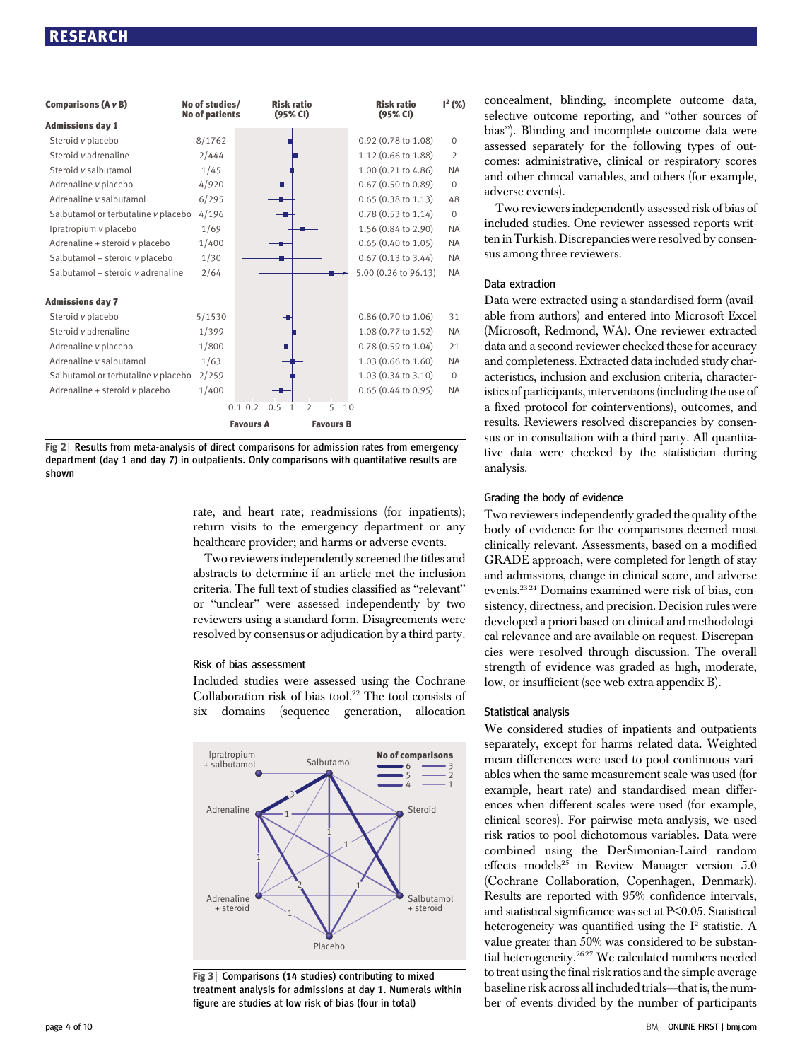| <b>Comparisons (AvB)</b>            | No of studies/<br><b>No of patients</b> | <b>Risk ratio</b><br>(95% CI)                               | <b>Risk ratio</b><br>(95% CI) | $I^2$ (%)    |
|-------------------------------------|-----------------------------------------|-------------------------------------------------------------|-------------------------------|--------------|
| <b>Admissions day 1</b>             |                                         |                                                             |                               |              |
| Steroid v placebo                   | 8/1762                                  |                                                             | 0.92 (0.78 to 1.08)           | $\mathbf{0}$ |
| Steroid v adrenaline                | 2/444                                   |                                                             | 1.12 (0.66 to 1.88)           | 2            |
| Steroid v salbutamol                | 1/45                                    |                                                             | 1.00 (0.21 to 4.86)           | <b>NA</b>    |
| Adrenaline v placebo                | 4/920                                   | $-$                                                         | $0.67$ (0.50 to 0.89)         | $\mathbf{0}$ |
| Adrenaline v salbutamol             | 6/295                                   |                                                             | $0.65$ $(0.38$ to $1.13)$     | 48           |
| Salbutamol or terbutaline v placebo | 4/196                                   |                                                             | 0.78 (0.53 to 1.14)           | $\mathbf{0}$ |
| Ipratropium v placebo               | 1/69                                    |                                                             | 1.56 (0.84 to 2.90)           | <b>NA</b>    |
| Adrenaline + steroid v placebo      | 1/400                                   |                                                             | $0.65(0.40 \text{ to } 1.05)$ | <b>NA</b>    |
| Salbutamol + steroid v placebo      | 1/30                                    |                                                             | $0.67$ $(0.13$ to $3.44)$     | <b>NA</b>    |
| Salbutamol + steroid v adrenaline   | 2/64                                    |                                                             | 5.00 (0.26 to 96.13)          | <b>NA</b>    |
| <b>Admissions day 7</b>             |                                         |                                                             |                               |              |
| Steroid v placebo                   | 5/1530                                  |                                                             | 0.86 (0.70 to 1.06)           | 31           |
| Steroid v adrenaline                | 1/399                                   |                                                             | 1.08 (0.77 to 1.52)           | <b>NA</b>    |
| Adrenaline v placebo                | 1/800                                   |                                                             | 0.78 (0.59 to 1.04)           | 21           |
| Adrenaline v salbutamol             | 1/63                                    |                                                             | 1.03 (0.66 to 1.60)           | <b>NA</b>    |
| Salbutamol or terbutaline v placebo | 2/259                                   |                                                             | 1.03 (0.34 to 3.10)           | $\mathbf{0}$ |
| Adrenaline + steroid v placebo      | 1/400                                   |                                                             | $0.65$ $(0.44$ to $0.95)$     | <b>NA</b>    |
|                                     |                                         | 0.1 0.2<br>$\mathfrak{D}$<br>5<br>10<br>0.5<br>$\mathbf{1}$ |                               |              |
|                                     |                                         | <b>Favours A</b><br><b>Favours B</b>                        |                               |              |

Fig 2 | Results from meta-analysis of direct comparisons for admission rates from emergency department (day 1 and day 7) in outpatients. Only comparisons with quantitative results are shown

rate, and heart rate; readmissions (for inpatients); return visits to the emergency department or any healthcare provider; and harms or adverse events.

Two reviewers independently screened the titles and abstracts to determine if an article met the inclusion criteria. The full text of studies classified as "relevant" or "unclear" were assessed independently by two reviewers using a standard form. Disagreements were resolved by consensus or adjudication by a third party.

### Risk of bias assessment

Included studies were assessed using the Cochrane Collaboration risk of bias tool.22 The tool consists of six domains (sequence generation, allocation



Fig  $3$  | Comparisons (14 studies) contributing to mixed treatment analysis for admissions at day 1. Numerals within figure are studies at low risk of bias (four in total)

concealment, blinding, incomplete outcome data, selective outcome reporting, and "other sources of bias"). Blinding and incomplete outcome data were assessed separately for the following types of outcomes: administrative, clinical or respiratory scores and other clinical variables, and others (for example, adverse events).

Two reviewers independently assessed risk of bias of included studies. One reviewer assessed reports written in Turkish. Discrepancies were resolved by consensus among three reviewers.

#### Data extraction

Data were extracted using a standardised form (available from authors) and entered into Microsoft Excel (Microsoft, Redmond, WA). One reviewer extracted data and a second reviewer checked these for accuracy and completeness. Extracted data included study characteristics, inclusion and exclusion criteria, characteristics of participants, interventions (including the use of a fixed protocol for cointerventions), outcomes, and results. Reviewers resolved discrepancies by consensus or in consultation with a third party. All quantitative data were checked by the statistician during analysis.

#### Grading the body of evidence

Two reviewers independently graded the quality of the body of evidence for the comparisons deemed most clinically relevant. Assessments, based on a modified GRADE approach, were completed for length of stay and admissions, change in clinical score, and adverse events.23 24 Domains examined were risk of bias, consistency, directness, and precision. Decision rules were developed a priori based on clinical and methodological relevance and are available on request. Discrepancies were resolved through discussion. The overall strength of evidence was graded as high, moderate, low, or insufficient (see web extra appendix B).

#### Statistical analysis

We considered studies of inpatients and outpatients separately, except for harms related data. Weighted mean differences were used to pool continuous variables when the same measurement scale was used (for example, heart rate) and standardised mean differences when different scales were used (for example, clinical scores). For pairwise meta-analysis, we used risk ratios to pool dichotomous variables. Data were combined using the DerSimonian-Laird random effects models<sup>25</sup> in Review Manager version  $5.0$ (Cochrane Collaboration, Copenhagen, Denmark). Results are reported with 95% confidence intervals, and statistical significance was set at P<0.05. Statistical heterogeneity was quantified using the  $I<sup>2</sup>$  statistic. A value greater than 50% was considered to be substantial heterogeneity.<sup>2627</sup> We calculated numbers needed to treat using the final risk ratios and the simple average baseline risk across all included trials—that is, the number of events divided by the number of participants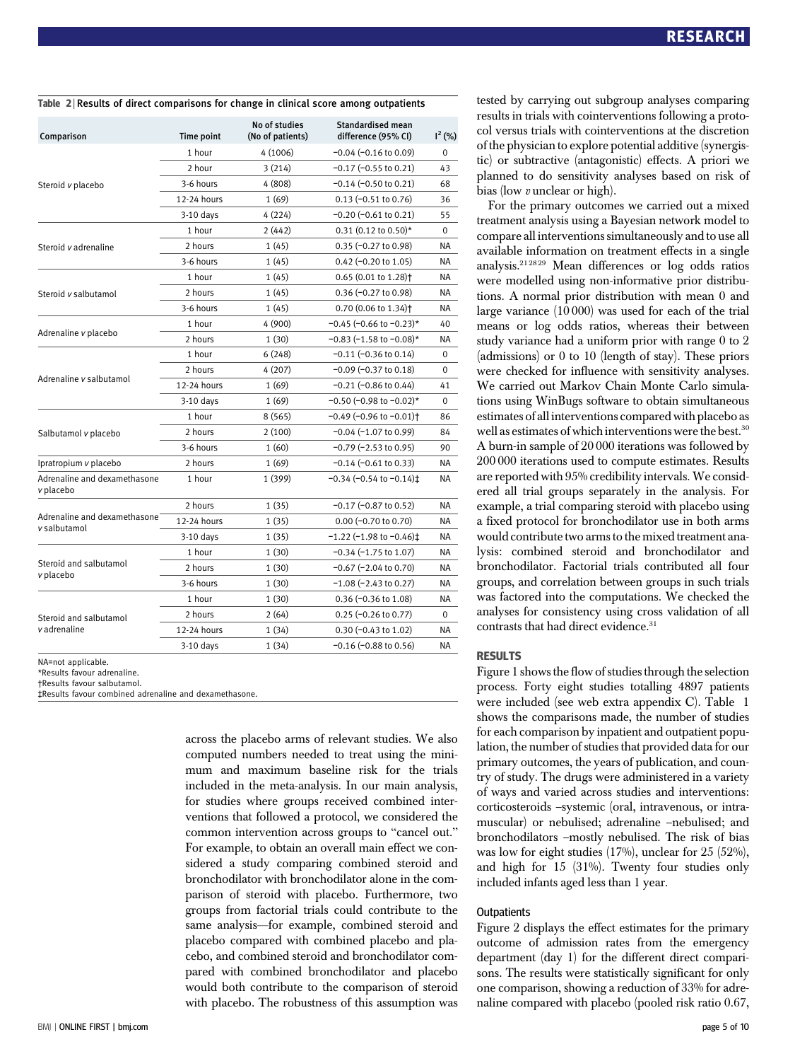| Comparison                                | Time point  | No of studies<br>(No of patients) | <b>Standardised mean</b><br>difference (95% CI)              | $I^2$ (%) |
|-------------------------------------------|-------------|-----------------------------------|--------------------------------------------------------------|-----------|
|                                           | 1 hour      | 4 (1006)                          | $-0.04$ ( $-0.16$ to 0.09)                                   | 0         |
|                                           | 2 hour      | 3(214)                            | $-0.17$ ( $-0.55$ to 0.21)                                   | 43        |
| Steroid v placebo                         | 3-6 hours   | 4 (808)                           | $-0.14$ ( $-0.50$ to 0.21)                                   | 68        |
|                                           | 12-24 hours | 1(69)                             | $0.13$ (-0.51 to 0.76)                                       | 36        |
|                                           | 3-10 days   | 4 (224)                           | −0.20 (−0.61 to 0.21)                                        | 55        |
|                                           | 1 hour      | 2(442)                            | $0.31$ (0.12 to 0.50)*                                       | 0         |
| Steroid v adrenaline                      | 2 hours     | 1(45)                             | $0.35$ (-0.27 to 0.98)                                       | ΝA        |
|                                           | 3-6 hours   | 1 (45)                            | $0.42$ (-0.20 to 1.05)                                       | NA        |
|                                           | 1 hour      | 1(45)                             | $0.65(0.01 to 1.28)$ <sup>+</sup>                            | NA        |
| Steroid v salbutamol                      | 2 hours     | 1(45)                             | $0.36$ (-0.27 to 0.98)                                       | NA        |
|                                           | 3-6 hours   | 1 (45)                            | $0.70$ (0.06 to 1.34) <sup>+</sup>                           | ΝA        |
|                                           | 1 hour      | 4 (900)                           | $-0.45$ (-0.66 to -0.23)*                                    | 40        |
| Adrenaline v placebo                      | 2 hours     | 1(30)                             | $-0.83$ (-1.58 to $-0.08$ )*                                 | ΝA        |
|                                           | 1 hour      | 6(248)                            | $-0.11$ ( $-0.36$ to 0.14)                                   | 0         |
|                                           | 2 hours     | 4 (207)                           | $-0.09$ ( $-0.37$ to 0.18)                                   | 0         |
| Adrenaline v salbutamol                   | 12-24 hours | 1(69)                             | $-0.21$ ( $-0.86$ to 0.44)                                   | 41        |
|                                           | 3-10 days   | 1(69)                             | −0.50 (−0.98 to −0.02)*                                      | 0         |
|                                           | 1 hour      | 8 (565)                           | $-0.49$ (-0.96 to $-0.01$ ) <sup>+</sup>                     | 86        |
| Salbutamol v placebo                      | 2 hours     | 2(100)                            | $-0.04$ ( $-1.07$ to 0.99)                                   | 84        |
|                                           | 3-6 hours   | 1(60)                             | $-0.79$ ( $-2.53$ to 0.95)                                   | 90        |
| Ipratropium v placebo                     | 2 hours     | 1(69)                             | $-0.14$ ( $-0.61$ to 0.33)                                   | ΝA        |
| Adrenaline and dexamethasone<br>v placebo | 1 hour      | 1 (399)                           | $-0.34$ (-0.54 to $-0.14$ ) <sup><math>\ddagger</math></sup> | NA        |
|                                           | 2 hours     | 1 (35)                            | $-0.17$ ( $-0.87$ to 0.52)                                   | NA        |
| Adrenaline and dexamethasone              | 12-24 hours | 1(35)                             | $0.00$ (-0.70 to 0.70)                                       | ΝA        |
| v salbutamol                              | 3-10 days   | 1(35)                             | $-1.22$ (-1.98 to -0.46) $\ddagger$                          | ΝA        |
|                                           | 1 hour      | 1(30)                             | $-0.34$ ( $-1.75$ to 1.07)                                   | NA        |
| Steroid and salbutamol                    | 2 hours     | 1(30)                             | $-0.67$ ( $-2.04$ to 0.70)                                   | NA        |
| v placebo                                 | 3-6 hours   | 1(30)                             | $-1.08$ ( $-2.43$ to 0.27)                                   | ΝA        |
|                                           | 1 hour      | 1(30)                             | $0.36$ (-0.36 to 1.08)                                       | NA        |
| Steroid and salbutamol                    | 2 hours     | 2(64)                             | $0.25$ (-0.26 to 0.77)                                       | 0         |
| v adrenaline                              | 12-24 hours | 1 (34)                            | $0.30$ (-0.43 to 1.02)                                       | <b>NA</b> |
|                                           | 3-10 days   | 1 (34)                            | $-0.16$ ( $-0.88$ to 0.56)                                   | NA        |

Table 2 <sup>|</sup> Results of direct comparisons for change in clinical score among outpatients

NA=not applicable.

\*Results favour adrenaline.

†Results favour salbutamol.

‡Results favour combined adrenaline and dexamethasone.

across the placebo arms of relevant studies. We also computed numbers needed to treat using the minimum and maximum baseline risk for the trials included in the meta-analysis. In our main analysis, for studies where groups received combined interventions that followed a protocol, we considered the common intervention across groups to "cancel out." For example, to obtain an overall main effect we considered a study comparing combined steroid and bronchodilator with bronchodilator alone in the comparison of steroid with placebo. Furthermore, two groups from factorial trials could contribute to the same analysis—for example, combined steroid and placebo compared with combined placebo and placebo, and combined steroid and bronchodilator compared with combined bronchodilator and placebo would both contribute to the comparison of steroid with placebo. The robustness of this assumption was tested by carrying out subgroup analyses comparing results in trials with cointerventions following a protocol versus trials with cointerventions at the discretion of the physician to explore potential additive (synergistic) or subtractive (antagonistic) effects. A priori we planned to do sensitivity analyses based on risk of bias (low v unclear or high).

For the primary outcomes we carried out a mixed treatment analysis using a Bayesian network model to compare all interventions simultaneously and to use all available information on treatment effects in a single analysis.21 28 29 Mean differences or log odds ratios were modelled using non-informative prior distributions. A normal prior distribution with mean 0 and large variance (10 000) was used for each of the trial means or log odds ratios, whereas their between study variance had a uniform prior with range 0 to 2 (admissions) or 0 to 10 (length of stay). These priors were checked for influence with sensitivity analyses. We carried out Markov Chain Monte Carlo simulations using WinBugs software to obtain simultaneous estimates of all interventions compared with placebo as well as estimates of which interventions were the best.<sup>30</sup> A burn-in sample of 20 000 iterations was followed by 200 000 iterations used to compute estimates. Results are reported with 95% credibility intervals. We considered all trial groups separately in the analysis. For example, a trial comparing steroid with placebo using a fixed protocol for bronchodilator use in both arms would contribute two arms to the mixed treatment analysis: combined steroid and bronchodilator and bronchodilator. Factorial trials contributed all four groups, and correlation between groups in such trials was factored into the computations. We checked the analyses for consistency using cross validation of all contrasts that had direct evidence.<sup>31</sup>

#### **RESULTS**

research the flow of studies through the selection process. Forty eight studies totalling 4897 patients were included (see web extra appendix C). Table 1 shows the comparisons made, the number of studies for each comparison by inpatient and outpatient population, the number of studies that provided data for our primary outcomes, the years of publication, and country of study. The drugs were administered in a variety of ways and varied across studies and interventions: corticosteroids –systemic (oral, intravenous, or intramuscular) or nebulised; adrenaline –nebulised; and bronchodilators –mostly nebulised. The risk of bias was low for eight studies (17%), unclear for 25 (52%), and high for 15 (31%). Twenty four studies only included infants aged less than 1 year.

#### **Outpatients**

Figure 2 displays the effect estimates for the primary outcome of admission rates from the emergency department (day 1) for the different direct comparisons. The results were statistically significant for only one comparison, showing a reduction of 33% for adrenaline compared with placebo (pooled risk ratio 0.67,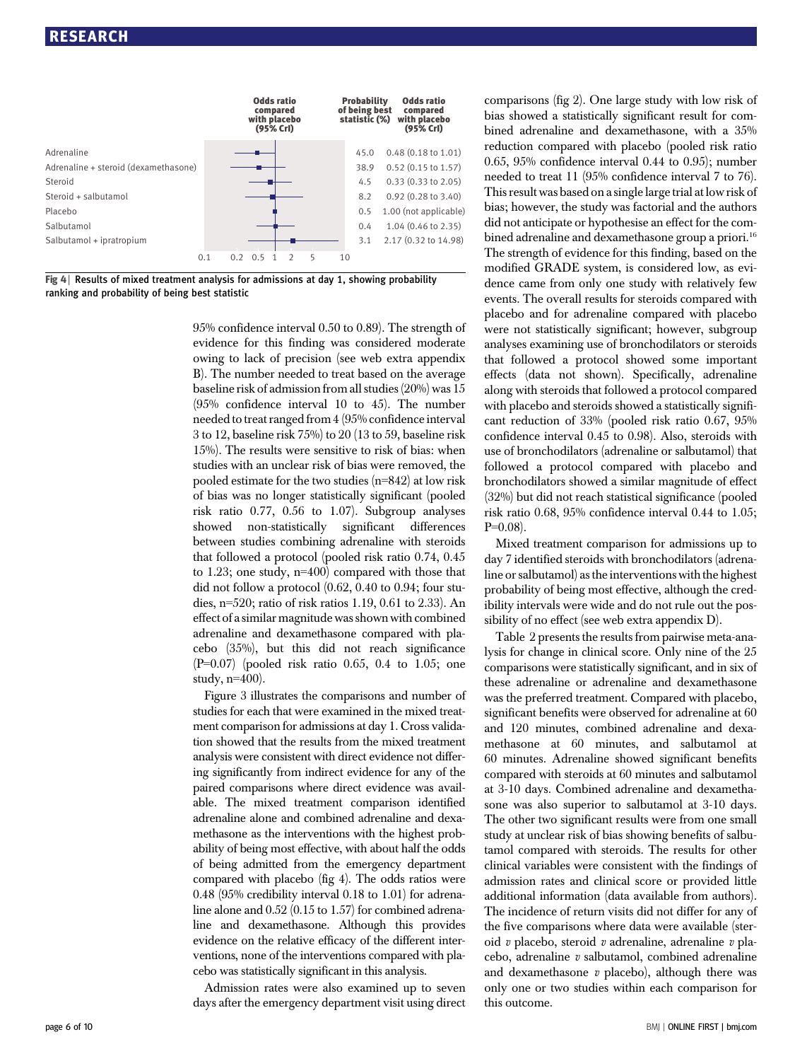|                                      |     | <b>Odds ratio</b><br>compared<br>with placebo<br>(95% Crl) |   | Probability<br>of being best<br>statistic (%) | <b>Odds ratio</b><br>compared<br>with placebo<br>(95% Crl) |
|--------------------------------------|-----|------------------------------------------------------------|---|-----------------------------------------------|------------------------------------------------------------|
| Adrenaline                           |     |                                                            |   | 45.0                                          | $0.48(0.18 \text{ to } 1.01)$                              |
| Adrenaline + steroid (dexamethasone) |     |                                                            |   | 38.9                                          | $0.52$ (0.15 to 1.57)                                      |
| Steroid                              |     |                                                            |   | 4.5                                           | $0.33(0.33 \text{ to } 2.05)$                              |
| Steroid + salbutamol                 |     |                                                            |   | 8.2                                           | $0.92(0.28 \text{ to } 3.40)$                              |
| Placebo                              |     |                                                            |   | 0.5                                           | 1.00 (not applicable)                                      |
| Salbutamol                           |     |                                                            |   | 0.4                                           | 1.04 (0.46 to 2.35)                                        |
| Salbutamol + ipratropium             |     |                                                            |   | 3.1                                           | 2.17 (0.32 to 14.98)                                       |
|                                      | 0.1 | 5<br>0.2<br>$\Omega$                                       | 5 | 10                                            |                                                            |

Fig  $4$  | Results of mixed treatment analysis for admissions at day 1, showing probability ranking and probability of being best statistic

95% confidence interval 0.50 to 0.89). The strength of evidence for this finding was considered moderate owing to lack of precision (see web extra appendix B). The number needed to treat based on the average baseline risk of admission from all studies (20%) was 15 (95% confidence interval 10 to 45). The number needed to treat ranged from 4 (95% confidence interval 3 to 12, baseline risk 75%) to 20 (13 to 59, baseline risk 15%). The results were sensitive to risk of bias: when studies with an unclear risk of bias were removed, the pooled estimate for the two studies (n=842) at low risk of bias was no longer statistically significant (pooled risk ratio 0.77, 0.56 to 1.07). Subgroup analyses showed non-statistically significant differences between studies combining adrenaline with steroids that followed a protocol (pooled risk ratio 0.74, 0.45 to 1.23; one study, n=400) compared with those that did not follow a protocol (0.62, 0.40 to 0.94; four studies, n=520; ratio of risk ratios 1.19, 0.61 to 2.33). An effect of a similar magnitude was shown with combined adrenaline and dexamethasone compared with placebo (35%), but this did not reach significance (P=0.07) (pooled risk ratio 0.65, 0.4 to 1.05; one study, n=400).

Figure 3 illustrates the comparisons and number of studies for each that were examined in the mixed treatment comparison for admissions at day 1. Cross validation showed that the results from the mixed treatment analysis were consistent with direct evidence not differing significantly from indirect evidence for any of the paired comparisons where direct evidence was available. The mixed treatment comparison identified adrenaline alone and combined adrenaline and dexamethasone as the interventions with the highest probability of being most effective, with about half the odds of being admitted from the emergency department compared with placebo (fig 4). The odds ratios were 0.48 (95% credibility interval 0.18 to 1.01) for adrenaline alone and 0.52 (0.15 to 1.57) for combined adrenaline and dexamethasone. Although this provides evidence on the relative efficacy of the different interventions, none of the interventions compared with placebo was statistically significant in this analysis.

Admission rates were also examined up to seven days after the emergency department visit using direct comparisons (fig 2). One large study with low risk of bias showed a statistically significant result for combined adrenaline and dexamethasone, with a 35% reduction compared with placebo (pooled risk ratio 0.65, 95% confidence interval 0.44 to 0.95); number needed to treat 11 (95% confidence interval 7 to 76). This result was based on a single large trial at low risk of bias; however, the study was factorial and the authors did not anticipate or hypothesise an effect for the combined adrenaline and dexamethasone group a priori.<sup>16</sup> The strength of evidence for this finding, based on the modified GRADE system, is considered low, as evidence came from only one study with relatively few events. The overall results for steroids compared with placebo and for adrenaline compared with placebo were not statistically significant; however, subgroup analyses examining use of bronchodilators or steroids that followed a protocol showed some important effects (data not shown). Specifically, adrenaline along with steroids that followed a protocol compared with placebo and steroids showed a statistically significant reduction of 33% (pooled risk ratio 0.67, 95% confidence interval 0.45 to 0.98). Also, steroids with use of bronchodilators (adrenaline or salbutamol) that followed a protocol compared with placebo and bronchodilators showed a similar magnitude of effect (32%) but did not reach statistical significance (pooled risk ratio 0.68, 95% confidence interval 0.44 to 1.05; P=0.08).

Mixed treatment comparison for admissions up to day 7 identified steroids with bronchodilators (adrenaline or salbutamol) as the interventions with the highest probability of being most effective, although the credibility intervals were wide and do not rule out the possibility of no effect (see web extra appendix D).

Table 2 presents the results from pairwise meta-analysis for change in clinical score. Only nine of the 25 comparisons were statistically significant, and in six of these adrenaline or adrenaline and dexamethasone was the preferred treatment. Compared with placebo, significant benefits were observed for adrenaline at 60 and 120 minutes, combined adrenaline and dexamethasone at 60 minutes, and salbutamol at 60 minutes. Adrenaline showed significant benefits compared with steroids at 60 minutes and salbutamol at 3-10 days. Combined adrenaline and dexamethasone was also superior to salbutamol at 3-10 days. The other two significant results were from one small study at unclear risk of bias showing benefits of salbutamol compared with steroids. The results for other clinical variables were consistent with the findings of admission rates and clinical score or provided little additional information (data available from authors). The incidence of return visits did not differ for any of the five comparisons where data were available (steroid  $v$  placebo, steroid  $v$  adrenaline, adrenaline  $v$  placebo, adrenaline  $v$  salbutamol, combined adrenaline and dexamethasone  $v$  placebo), although there was only one or two studies within each comparison for this outcome.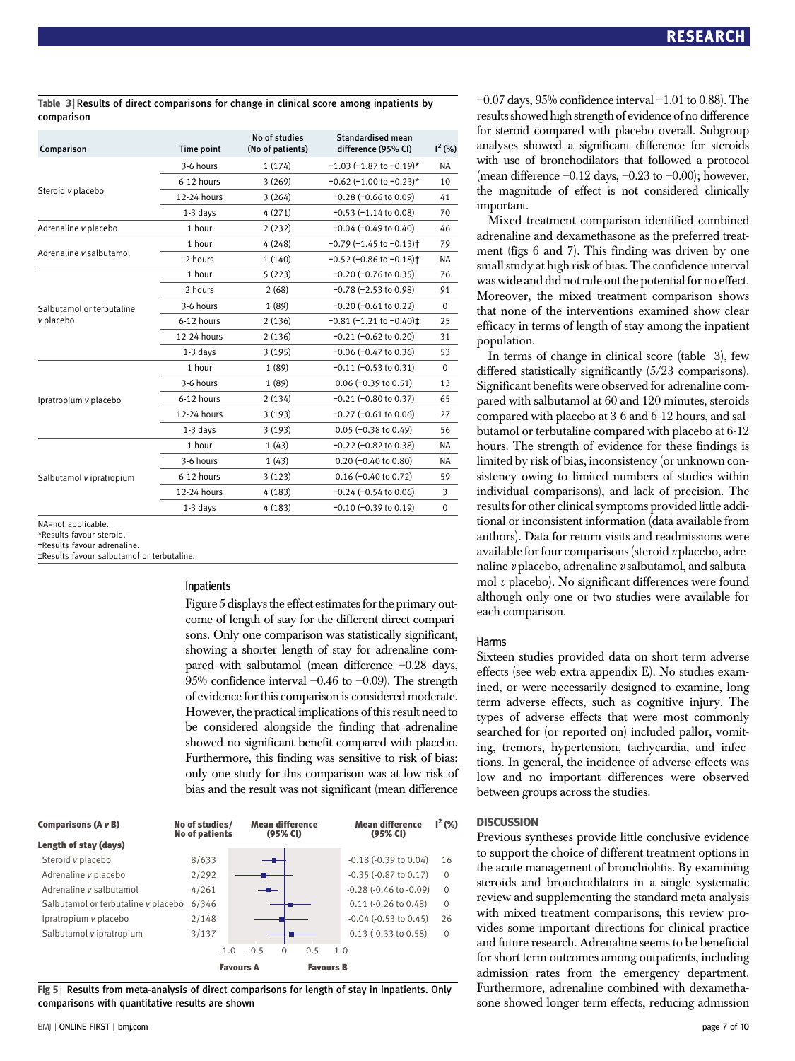#### Table 3 <sup>|</sup> Results of direct comparisons for change in clinical score among inpatients by comparison

| Comparison                                     | Time point  | No of studies<br>(No of patients) | <b>Standardised mean</b><br>difference (95% CI)         | $I^2$ (%)    |
|------------------------------------------------|-------------|-----------------------------------|---------------------------------------------------------|--------------|
|                                                | 3-6 hours   | 1(174)                            | $-1.03$ (-1.87 to $-0.19$ )*                            | NA           |
|                                                | 6-12 hours  | 3(269)                            | $-0.62$ (-1.00 to -0.23)*                               | 10           |
| Steroid v placebo                              | 12-24 hours | 3(264)                            | $-0.28$ ( $-0.66$ to 0.09)                              | 41           |
|                                                | $1-3$ days  | 4(271)                            | $-0.53$ ( $-1.14$ to 0.08)                              | 70           |
| Adrenaline v placebo                           | 1 hour      | 2(232)                            | $-0.04$ ( $-0.49$ to 0.40)                              | 46           |
|                                                | 1 hour      | 4(248)                            | $-0.79$ (-1.45 to $-0.13$ ) <sup>+</sup>                | 79           |
| Adrenaline v salbutamol                        | 2 hours     | 1(140)                            | $-0.52$ ( $-0.86$ to $-0.18$ ) <sup>+</sup>             | NA           |
|                                                | 1 hour      | 5(223)                            | $-0.20$ ( $-0.76$ to 0.35)                              | 76           |
|                                                | 2 hours     | 2(68)                             | $-0.78$ ( $-2.53$ to 0.98)                              | 91           |
| Salbutamol or terbutaline                      | 3-6 hours   | 1(89)                             | $-0.20$ ( $-0.61$ to 0.22)                              | $\mathbf{0}$ |
| v placebo                                      | 6-12 hours  | 2(136)                            | $-0.81$ (-1.21 to $-0.40$ ) <sup><math>\pm</math></sup> | 25           |
|                                                | 12-24 hours | 2(136)                            | $-0.21$ ( $-0.62$ to 0.20)                              | 31           |
|                                                | $1-3$ days  | 3(195)                            | $-0.06$ ( $-0.47$ to 0.36)                              | 53           |
|                                                | 1 hour      | 1(89)                             | $-0.11$ $(-0.53$ to $0.31)$                             | $\mathbf{0}$ |
|                                                | 3-6 hours   | 1(89)                             | $0.06$ (-0.39 to 0.51)                                  | 13           |
| Ipratropium v placebo                          | 6-12 hours  | 2(134)                            | $-0.21$ ( $-0.80$ to 0.37)                              | 65           |
|                                                | 12-24 hours | 3(193)                            | $-0.27$ ( $-0.61$ to 0.06)                              | 27           |
|                                                | $1-3$ days  | 3(193)                            | $0.05$ (-0.38 to 0.49)                                  | 56           |
|                                                | 1 hour      | 1(43)                             | $-0.22$ ( $-0.82$ to 0.38)                              | <b>NA</b>    |
|                                                | 3-6 hours   | 1(43)                             | $0.20$ (-0.40 to 0.80)                                  | ΝA           |
| Salbutamol v ipratropium                       | 6-12 hours  | 3(123)                            | $0.16$ (-0.40 to 0.72)                                  | 59           |
|                                                | 12-24 hours | 4(183)                            | $-0.24$ (-0.54 to 0.06)                                 | 3            |
|                                                | $1-3$ days  | 4(183)                            | $-0.10$ ( $-0.39$ to 0.19)                              | $\mathbf 0$  |
| NA=not applicable.<br>*Results favour steroid. |             |                                   |                                                         |              |

†Results favour adrenaline.

‡Results favour salbutamol or terbutaline.

#### Inpatients

Figure 5 displays the effect estimates for the primary outcome of length of stay for the different direct comparisons. Only one comparison was statistically significant, showing a shorter length of stay for adrenaline compared with salbutamol (mean difference −0.28 days, 95% confidence interval −0.46 to −0.09). The strength of evidence for this comparison is considered moderate. However, the practical implications of this result need to be considered alongside the finding that adrenaline showed no significant benefit compared with placebo. Furthermore, this finding was sensitive to risk of bias: only one study for this comparison was at low risk of bias and the result was not significant (mean difference

| <b>Comparisons (A v B)</b>          | No of studies/<br><b>No of patients</b> | <b>Mean difference</b><br>(95% CI) |                  | <b>Mean difference</b><br>(95% CI) | $I^2$ (%)    |
|-------------------------------------|-----------------------------------------|------------------------------------|------------------|------------------------------------|--------------|
| Length of stay (days)               |                                         |                                    |                  |                                    |              |
| Steroid v placebo                   | 8/633                                   |                                    |                  | $-0.18$ $(-0.39$ to $0.04)$        | 16           |
| Adrenaline v placebo                | 2/292                                   |                                    |                  | $-0.35$ $(-0.87$ to $0.17)$        | $\Omega$     |
| Adrenaline v salbutamol             | 4/261                                   | — <b>u</b> —                       |                  | $-0.28$ $(-0.46$ to $-0.09)$       | $\Omega$     |
| Salbutamol or terbutaline v placebo | 6/346                                   |                                    |                  | $0.11$ ( $-0.26$ to $0.48$ )       | $\Omega$     |
| Ipratropium v placebo               | 2/148                                   |                                    |                  | $-0.04$ $(-0.53$ to $0.45)$        | 26           |
| Salbutamol v ipratropium            | 3/137                                   |                                    |                  | $0.13$ ( $-0.33$ to $0.58$ )       | $\mathbf{0}$ |
|                                     | $-1.0$                                  | $-0.5$<br>$\Omega$                 | 0.5<br>1.0       |                                    |              |
|                                     |                                         | <b>Favours A</b>                   | <b>Favours B</b> |                                    |              |

Fig 5 | Results from meta-analysis of direct comparisons for length of stay in inpatients. Only comparisons with quantitative results are shown

−0.07 days, 95% confidence interval −1.01 to 0.88). The results showed high strength of evidence of no difference for steroid compared with placebo overall. Subgroup analyses showed a significant difference for steroids with use of bronchodilators that followed a protocol (mean difference  $-0.12$  days,  $-0.23$  to  $-0.00$ ); however, the magnitude of effect is not considered clinically important.

Mixed treatment comparison identified combined adrenaline and dexamethasone as the preferred treatment (figs 6 and 7). This finding was driven by one small study at high risk of bias. The confidence interval was wide and did not rule out the potential for no effect. Moreover, the mixed treatment comparison shows that none of the interventions examined show clear efficacy in terms of length of stay among the inpatient population.

In terms of change in clinical score (table 3), few differed statistically significantly (5/23 comparisons). Significant benefits were observed for adrenaline compared with salbutamol at 60 and 120 minutes, steroids compared with placebo at 3-6 and 6-12 hours, and salbutamol or terbutaline compared with placebo at 6-12 hours. The strength of evidence for these findings is limited by risk of bias, inconsistency (or unknown consistency owing to limited numbers of studies within individual comparisons), and lack of precision. The results for other clinical symptoms provided little additional or inconsistent information (data available from authors). Data for return visits and readmissions were available for four comparisons (steroid  $v$  placebo, adrenaline  $v$  placebo, adrenaline  $v$  salbutamol, and salbutamol v placebo). No significant differences were found although only one or two studies were available for each comparison.

#### Harms

Sixteen studies provided data on short term adverse effects (see web extra appendix E). No studies examined, or were necessarily designed to examine, long term adverse effects, such as cognitive injury. The types of adverse effects that were most commonly searched for (or reported on) included pallor, vomiting, tremors, hypertension, tachycardia, and infections. In general, the incidence of adverse effects was low and no important differences were observed between groups across the studies.

Previous syntheses provide little conclusive evidence to support the choice of different treatment options in the acute management of bronchiolitis. By examining steroids and bronchodilators in a single systematic review and supplementing the standard meta-analysis with mixed treatment comparisons, this review provides some important directions for clinical practice and future research. Adrenaline seems to be beneficial for short term outcomes among outpatients, including admission rates from the emergency department. Furthermore, adrenaline combined with dexamethasone showed longer term effects, reducing admission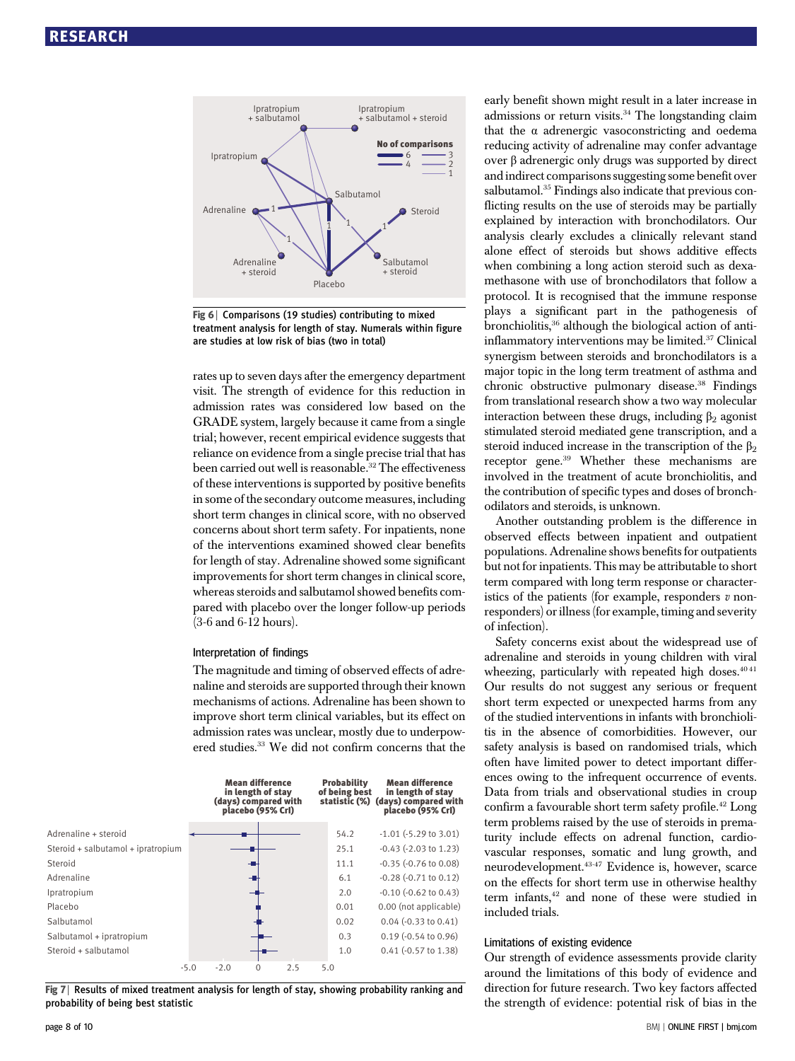

Fig 6 | Comparisons (19 studies) contributing to mixed treatment analysis for length of stay. Numerals within figure are studies at low risk of bias (two in total)

rates up to seven days after the emergency department visit. The strength of evidence for this reduction in admission rates was considered low based on the GRADE system, largely because it came from a single trial; however, recent empirical evidence suggests that reliance on evidence from a single precise trial that has been carried out well is reasonable.<sup>32</sup> The effectiveness of these interventions is supported by positive benefits in some of the secondary outcome measures, including short term changes in clinical score, with no observed concerns about short term safety. For inpatients, none of the interventions examined showed clear benefits for length of stay. Adrenaline showed some significant improvements for short term changes in clinical score, whereas steroids and salbutamol showed benefits compared with placebo over the longer follow-up periods (3-6 and 6-12 hours).

#### Interpretation of findings

The magnitude and timing of observed effects of adrenaline and steroids are supported through their known mechanisms of actions. Adrenaline has been shown to improve short term clinical variables, but its effect on admission rates was unclear, mostly due to underpowered studies.<sup>33</sup> We did not confirm concerns that the



Fig 7 | Results of mixed treatment analysis for length of stay, showing probability ranking and probability of being best statistic

early benefit shown might result in a later increase in admissions or return visits. $34$  The longstanding claim that the α adrenergic vasoconstricting and oedema reducing activity of adrenaline may confer advantage over β adrenergic only drugs was supported by direct and indirect comparisons suggesting some benefit over salbutamol.<sup>35</sup> Findings also indicate that previous conflicting results on the use of steroids may be partially explained by interaction with bronchodilators. Our analysis clearly excludes a clinically relevant stand alone effect of steroids but shows additive effects when combining a long action steroid such as dexamethasone with use of bronchodilators that follow a protocol. It is recognised that the immune response plays a significant part in the pathogenesis of bronchiolitis,<sup>36</sup> although the biological action of antiinflammatory interventions may be limited.<sup>37</sup> Clinical synergism between steroids and bronchodilators is a major topic in the long term treatment of asthma and chronic obstructive pulmonary disease.<sup>38</sup> Findings from translational research show a two way molecular interaction between these drugs, including  $β_2$  agonist stimulated steroid mediated gene transcription, and a steroid induced increase in the transcription of the  $\beta_2$ receptor gene.39 Whether these mechanisms are involved in the treatment of acute bronchiolitis, and the contribution of specific types and doses of bronchodilators and steroids, is unknown.

Another outstanding problem is the difference in observed effects between inpatient and outpatient populations. Adrenaline shows benefits for outpatients but not for inpatients. This may be attributable to short term compared with long term response or characteristics of the patients (for example, responders  $v$  nonresponders) or illness (for example, timing and severity of infection).

Safety concerns exist about the widespread use of adrenaline and steroids in young children with viral wheezing, particularly with repeated high doses.<sup>4041</sup> Our results do not suggest any serious or frequent short term expected or unexpected harms from any of the studied interventions in infants with bronchiolitis in the absence of comorbidities. However, our safety analysis is based on randomised trials, which often have limited power to detect important differences owing to the infrequent occurrence of events. Data from trials and observational studies in croup confirm a favourable short term safety profile.<sup>42</sup> Long term problems raised by the use of steroids in prematurity include effects on adrenal function, cardiovascular responses, somatic and lung growth, and neurodevelopment.43-47 Evidence is, however, scarce on the effects for short term use in otherwise healthy term infants, $42$  and none of these were studied in included trials.

#### Limitations of existing evidence

Our strength of evidence assessments provide clarity around the limitations of this body of evidence and direction for future research. Two key factors affected the strength of evidence: potential risk of bias in the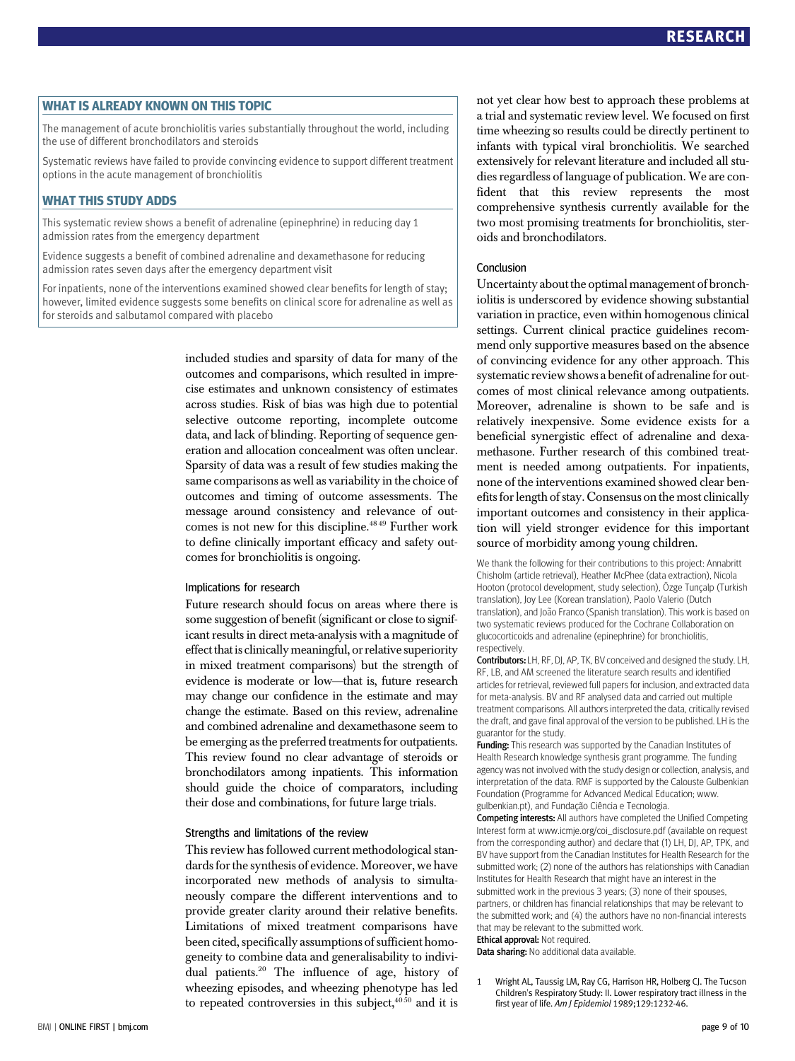WHAT IS ALREADY KNOWN ON THIS TOPIC The management of acute bronchiolitis varies substantially throughout the world, including the use of different bronchodilators and steroids

Systematic reviews have failed to provide convincing evidence to support different treatment options in the acute management of bronchiolitis

------------------------------<br>This systematic review shows a benefit of adrenaline (epinephrine) in reducing day 1 admission rates from the emergency department

Evidence suggests a benefit of combined adrenaline and dexamethasone for reducing admission rates seven days after the emergency department visit

For inpatients, none of the interventions examined showed clear benefits for length of stay; however, limited evidence suggests some benefits on clinical score for adrenaline as well as for steroids and salbutamol compared with placebo

> included studies and sparsity of data for many of the outcomes and comparisons, which resulted in imprecise estimates and unknown consistency of estimates across studies. Risk of bias was high due to potential selective outcome reporting, incomplete outcome data, and lack of blinding. Reporting of sequence generation and allocation concealment was often unclear. Sparsity of data was a result of few studies making the same comparisons as well as variability in the choice of outcomes and timing of outcome assessments. The message around consistency and relevance of outcomes is not new for this discipline.<sup>4849</sup> Further work to define clinically important efficacy and safety outcomes for bronchiolitis is ongoing.

#### Implications for research

Future research should focus on areas where there is some suggestion of benefit (significant or close to significant results in direct meta-analysis with a magnitude of effect that is clinically meaningful, or relative superiority in mixed treatment comparisons) but the strength of evidence is moderate or low—that is, future research may change our confidence in the estimate and may change the estimate. Based on this review, adrenaline and combined adrenaline and dexamethasone seem to be emerging as the preferred treatments for outpatients. This review found no clear advantage of steroids or bronchodilators among inpatients. This information should guide the choice of comparators, including their dose and combinations, for future large trials.

#### Strengths and limitations of the review

This review has followed current methodological standards for the synthesis of evidence. Moreover, we have incorporated new methods of analysis to simultaneously compare the different interventions and to provide greater clarity around their relative benefits. Limitations of mixed treatment comparisons have been cited, specifically assumptions of sufficient homogeneity to combine data and generalisability to individual patients.20 The influence of age, history of wheezing episodes, and wheezing phenotype has led to repeated controversies in this subject, $40\overline{50}$  and it is

not yet clear how best to approach these problems at a trial and systematic review level. We focused on first time wheezing so results could be directly pertinent to infants with typical viral bronchiolitis. We searched extensively for relevant literature and included all studies regardless of language of publication. We are confident that this review represents the most comprehensive synthesis currently available for the two most promising treatments for bronchiolitis, steroids and bronchodilators.

### Conclusion

Uncertainty about the optimal management of bronchiolitis is underscored by evidence showing substantial variation in practice, even within homogenous clinical settings. Current clinical practice guidelines recommend only supportive measures based on the absence of convincing evidence for any other approach. This systematic review shows a benefit of adrenaline for outcomes of most clinical relevance among outpatients. Moreover, adrenaline is shown to be safe and is relatively inexpensive. Some evidence exists for a beneficial synergistic effect of adrenaline and dexamethasone. Further research of this combined treatment is needed among outpatients. For inpatients, none of the interventions examined showed clear benefits for length of stay. Consensus on the most clinically important outcomes and consistency in their application will yield stronger evidence for this important source of morbidity among young children.

We thank the following for their contributions to this project: Annabritt Chisholm (article retrieval), Heather McPhee (data extraction), Nicola Hooton (protocol development, study selection), Özge Tuncalp (Turkish translation), Joy Lee (Korean translation), Paolo Valerio (Dutch translation), and João Franco (Spanish translation). This work is based on two systematic reviews produced for the Cochrane Collaboration on glucocorticoids and adrenaline (epinephrine) for bronchiolitis, respectively.

Contributors: LH, RF, DJ, AP, TK, BV conceived and designed the study. LH, RF, LB, and AM screened the literature search results and identified articles for retrieval, reviewed full papers for inclusion, and extracted data for meta-analysis. BV and RF analysed data and carried out multiple treatment comparisons. All authors interpreted the data, critically revised the draft, and gave final approval of the version to be published. LH is the guarantor for the study.

Funding: This research was supported by the Canadian Institutes of Health Research knowledge synthesis grant programme. The funding agency was not involved with the study design or collection, analysis, and interpretation of the data. RMF is supported by the Calouste Gulbenkian Foundation (Programme for Advanced Medical Education; www. gulbenkian.pt), and Fundação Ciência e Tecnologia.

Competing interests: All authors have completed the Unified Competing Interest form at www.icmje.org/coi\_disclosure.pdf (available on request from the corresponding author) and declare that (1) LH, DJ, AP, TPK, and BV have support from the Canadian Institutes for Health Research for the submitted work; (2) none of the authors has relationships with Canadian Institutes for Health Research that might have an interest in the submitted work in the previous 3 years; (3) none of their spouses, partners, or children has financial relationships that may be relevant to

the submitted work; and (4) the authors have no non-financial interests that may be relevant to the submitted work. **Ethical approval: Not required.** 

Data sharing: No additional data available.

1 Wright AL, Taussig LM, Ray CG, Harrison HR, Holberg CJ. The Tucson Children's Respiratory Study: II. Lower respiratory tract illness in the first year of life. Am J Epidemiol 1989;129:1232-46.